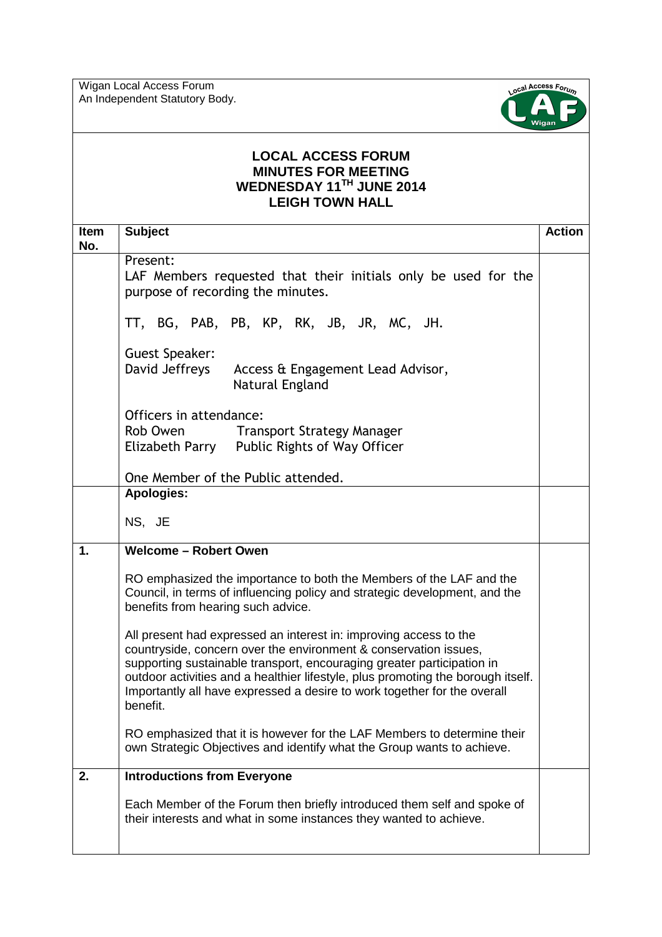Wigan Local Access Forum An Independent Statutory Body.



## **LOCAL ACCESS FORUM MINUTES FOR MEETING WEDNESDAY 11TH JUNE 2014 LEIGH TOWN HALL**

| <b>Item</b><br>No. | <b>Subject</b>                                                                                                                                                                                                                                                                                                                                                                              | <b>Action</b> |
|--------------------|---------------------------------------------------------------------------------------------------------------------------------------------------------------------------------------------------------------------------------------------------------------------------------------------------------------------------------------------------------------------------------------------|---------------|
|                    | Present:<br>LAF Members requested that their initials only be used for the<br>purpose of recording the minutes.                                                                                                                                                                                                                                                                             |               |
|                    | TT, BG, PAB, PB, KP, RK, JB, JR, MC, JH.                                                                                                                                                                                                                                                                                                                                                    |               |
|                    | Guest Speaker:<br>David Jeffreys<br>Access & Engagement Lead Advisor,<br>Natural England                                                                                                                                                                                                                                                                                                    |               |
|                    | Officers in attendance:<br>Rob Owen Transport Strategy Manager<br>Elizabeth Parry Public Rights of Way Officer                                                                                                                                                                                                                                                                              |               |
|                    | One Member of the Public attended.                                                                                                                                                                                                                                                                                                                                                          |               |
|                    | <b>Apologies:</b><br>NS, JE                                                                                                                                                                                                                                                                                                                                                                 |               |
| 1.                 | <b>Welcome - Robert Owen</b>                                                                                                                                                                                                                                                                                                                                                                |               |
|                    | RO emphasized the importance to both the Members of the LAF and the<br>Council, in terms of influencing policy and strategic development, and the<br>benefits from hearing such advice.                                                                                                                                                                                                     |               |
|                    | All present had expressed an interest in: improving access to the<br>countryside, concern over the environment & conservation issues,<br>supporting sustainable transport, encouraging greater participation in<br>outdoor activities and a healthier lifestyle, plus promoting the borough itself.<br>Importantly all have expressed a desire to work together for the overall<br>benefit. |               |
|                    | RO emphasized that it is however for the LAF Members to determine their<br>own Strategic Objectives and identify what the Group wants to achieve.                                                                                                                                                                                                                                           |               |
| 2.                 | <b>Introductions from Everyone</b>                                                                                                                                                                                                                                                                                                                                                          |               |
|                    | Each Member of the Forum then briefly introduced them self and spoke of<br>their interests and what in some instances they wanted to achieve.                                                                                                                                                                                                                                               |               |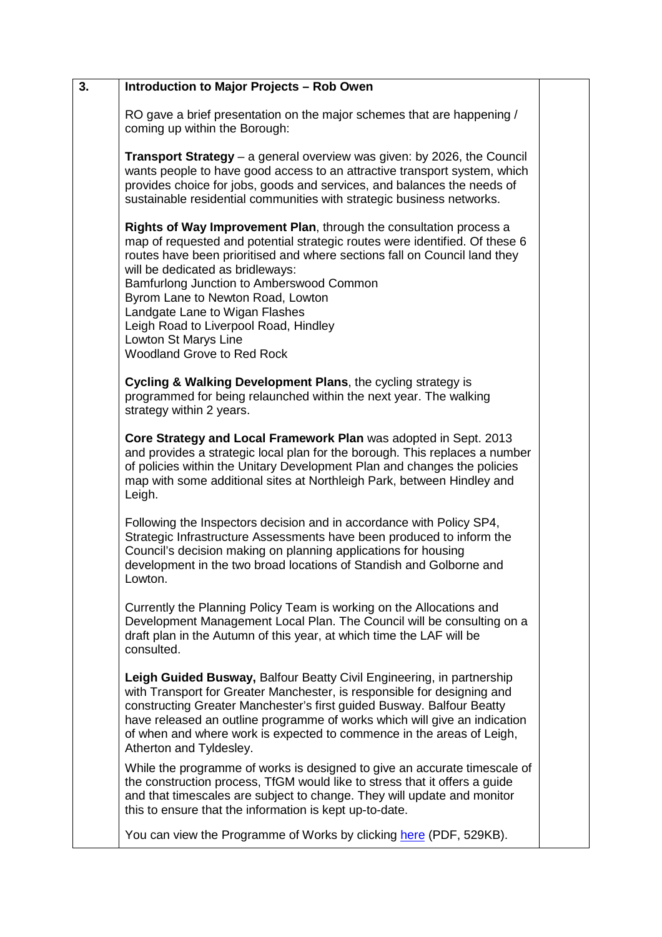| 3. | <b>Introduction to Major Projects - Rob Owen</b>                                                                                                                                                                                                                                                                                                                                                                                                                                            |  |
|----|---------------------------------------------------------------------------------------------------------------------------------------------------------------------------------------------------------------------------------------------------------------------------------------------------------------------------------------------------------------------------------------------------------------------------------------------------------------------------------------------|--|
|    | RO gave a brief presentation on the major schemes that are happening /<br>coming up within the Borough:                                                                                                                                                                                                                                                                                                                                                                                     |  |
|    | <b>Transport Strategy</b> – a general overview was given: by 2026, the Council<br>wants people to have good access to an attractive transport system, which<br>provides choice for jobs, goods and services, and balances the needs of<br>sustainable residential communities with strategic business networks.                                                                                                                                                                             |  |
|    | Rights of Way Improvement Plan, through the consultation process a<br>map of requested and potential strategic routes were identified. Of these 6<br>routes have been prioritised and where sections fall on Council land they<br>will be dedicated as bridleways:<br>Bamfurlong Junction to Amberswood Common<br>Byrom Lane to Newton Road, Lowton<br>Landgate Lane to Wigan Flashes<br>Leigh Road to Liverpool Road, Hindley<br>Lowton St Marys Line<br><b>Woodland Grove to Red Rock</b> |  |
|    | Cycling & Walking Development Plans, the cycling strategy is<br>programmed for being relaunched within the next year. The walking<br>strategy within 2 years.                                                                                                                                                                                                                                                                                                                               |  |
|    | Core Strategy and Local Framework Plan was adopted in Sept. 2013<br>and provides a strategic local plan for the borough. This replaces a number<br>of policies within the Unitary Development Plan and changes the policies<br>map with some additional sites at Northleigh Park, between Hindley and<br>Leigh.                                                                                                                                                                             |  |
|    | Following the Inspectors decision and in accordance with Policy SP4,<br>Strategic Infrastructure Assessments have been produced to inform the<br>Council's decision making on planning applications for housing<br>development in the two broad locations of Standish and Golborne and<br>Lowton.                                                                                                                                                                                           |  |
|    | Currently the Planning Policy Team is working on the Allocations and<br>Development Management Local Plan. The Council will be consulting on a<br>draft plan in the Autumn of this year, at which time the LAF will be<br>consulted.                                                                                                                                                                                                                                                        |  |
|    | Leigh Guided Busway, Balfour Beatty Civil Engineering, in partnership<br>with Transport for Greater Manchester, is responsible for designing and<br>constructing Greater Manchester's first guided Busway. Balfour Beatty<br>have released an outline programme of works which will give an indication<br>of when and where work is expected to commence in the areas of Leigh,<br>Atherton and Tyldesley.                                                                                  |  |
|    | While the programme of works is designed to give an accurate timescale of<br>the construction process, TfGM would like to stress that it offers a guide<br>and that timescales are subject to change. They will update and monitor<br>this to ensure that the information is kept up-to-date.                                                                                                                                                                                               |  |
|    | You can view the Programme of Works by clicking here (PDF, 529KB).                                                                                                                                                                                                                                                                                                                                                                                                                          |  |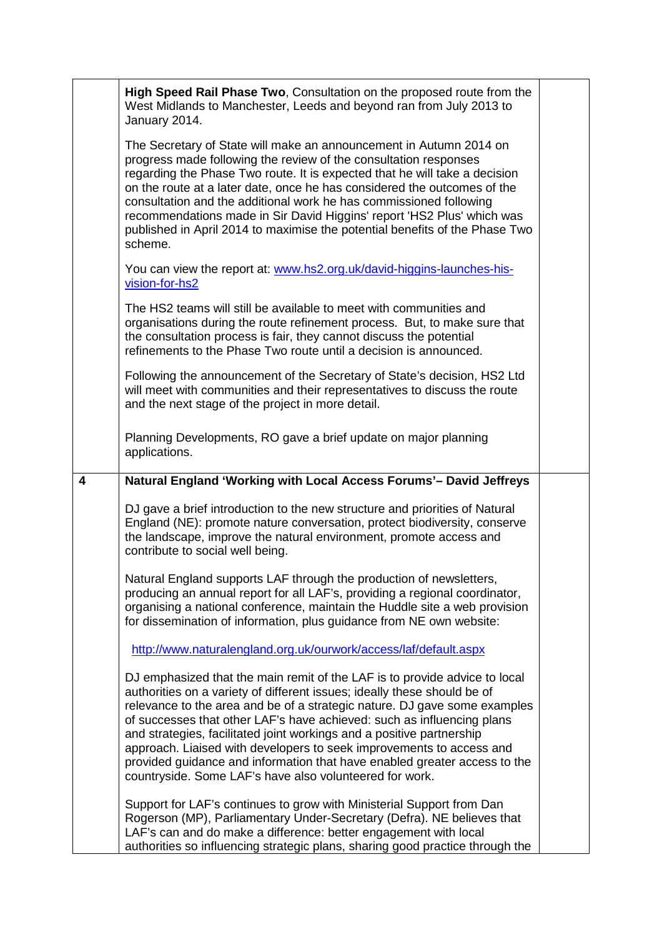|   | High Speed Rail Phase Two, Consultation on the proposed route from the<br>West Midlands to Manchester, Leeds and beyond ran from July 2013 to<br>January 2014.                                                                                                                                                                                                                                                                                                                                                                                                                                         |  |
|---|--------------------------------------------------------------------------------------------------------------------------------------------------------------------------------------------------------------------------------------------------------------------------------------------------------------------------------------------------------------------------------------------------------------------------------------------------------------------------------------------------------------------------------------------------------------------------------------------------------|--|
|   | The Secretary of State will make an announcement in Autumn 2014 on<br>progress made following the review of the consultation responses<br>regarding the Phase Two route. It is expected that he will take a decision<br>on the route at a later date, once he has considered the outcomes of the<br>consultation and the additional work he has commissioned following<br>recommendations made in Sir David Higgins' report 'HS2 Plus' which was<br>published in April 2014 to maximise the potential benefits of the Phase Two<br>scheme.                                                             |  |
|   | You can view the report at: www.hs2.org.uk/david-higgins-launches-his-<br>vision-for-hs2                                                                                                                                                                                                                                                                                                                                                                                                                                                                                                               |  |
|   | The HS2 teams will still be available to meet with communities and<br>organisations during the route refinement process. But, to make sure that<br>the consultation process is fair, they cannot discuss the potential<br>refinements to the Phase Two route until a decision is announced.                                                                                                                                                                                                                                                                                                            |  |
|   | Following the announcement of the Secretary of State's decision, HS2 Ltd<br>will meet with communities and their representatives to discuss the route<br>and the next stage of the project in more detail.                                                                                                                                                                                                                                                                                                                                                                                             |  |
|   | Planning Developments, RO gave a brief update on major planning<br>applications.                                                                                                                                                                                                                                                                                                                                                                                                                                                                                                                       |  |
| 4 | Natural England 'Working with Local Access Forums'- David Jeffreys                                                                                                                                                                                                                                                                                                                                                                                                                                                                                                                                     |  |
|   | DJ gave a brief introduction to the new structure and priorities of Natural<br>England (NE): promote nature conversation, protect biodiversity, conserve<br>the landscape, improve the natural environment, promote access and<br>contribute to social well being.                                                                                                                                                                                                                                                                                                                                     |  |
|   | Natural England supports LAF through the production of newsletters,<br>producing an annual report for all LAF's, providing a regional coordinator,<br>organising a national conference, maintain the Huddle site a web provision<br>for dissemination of information, plus guidance from NE own website:                                                                                                                                                                                                                                                                                               |  |
|   | http://www.naturalengland.org.uk/ourwork/access/laf/default.aspx                                                                                                                                                                                                                                                                                                                                                                                                                                                                                                                                       |  |
|   | DJ emphasized that the main remit of the LAF is to provide advice to local<br>authorities on a variety of different issues; ideally these should be of<br>relevance to the area and be of a strategic nature. DJ gave some examples<br>of successes that other LAF's have achieved: such as influencing plans<br>and strategies, facilitated joint workings and a positive partnership<br>approach. Liaised with developers to seek improvements to access and<br>provided guidance and information that have enabled greater access to the<br>countryside. Some LAF's have also volunteered for work. |  |
|   | Support for LAF's continues to grow with Ministerial Support from Dan<br>Rogerson (MP), Parliamentary Under-Secretary (Defra). NE believes that<br>LAF's can and do make a difference: better engagement with local<br>authorities so influencing strategic plans, sharing good practice through the                                                                                                                                                                                                                                                                                                   |  |